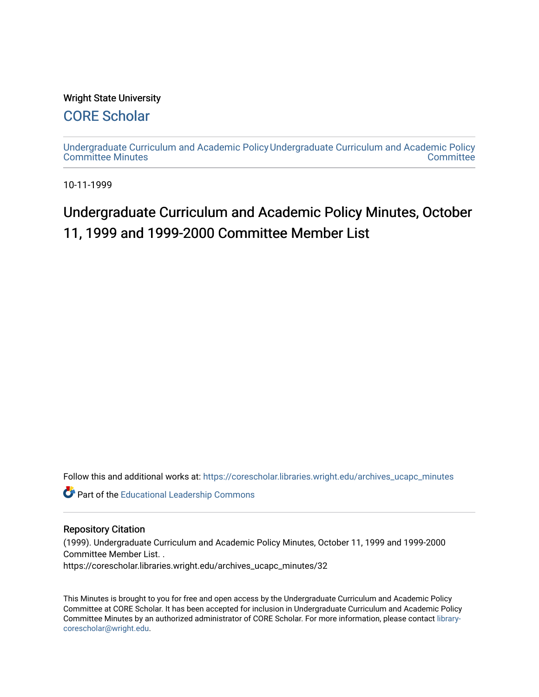### Wright State University

## [CORE Scholar](https://corescholar.libraries.wright.edu/)

[Undergraduate Curriculum and Academic Policy](https://corescholar.libraries.wright.edu/archives_ucapc_minutes) [Undergraduate Curriculum and Academic Policy](https://corescholar.libraries.wright.edu/archives_ucapc)  [Committee Minutes](https://corescholar.libraries.wright.edu/archives_ucapc_minutes) **Committee** 

10-11-1999

# Undergraduate Curriculum and Academic Policy Minutes, October 11, 1999 and 1999-2000 Committee Member List

Follow this and additional works at: [https://corescholar.libraries.wright.edu/archives\\_ucapc\\_minutes](https://corescholar.libraries.wright.edu/archives_ucapc_minutes?utm_source=corescholar.libraries.wright.edu%2Farchives_ucapc_minutes%2F32&utm_medium=PDF&utm_campaign=PDFCoverPages) 

Part of the [Educational Leadership Commons](http://network.bepress.com/hgg/discipline/1230?utm_source=corescholar.libraries.wright.edu%2Farchives_ucapc_minutes%2F32&utm_medium=PDF&utm_campaign=PDFCoverPages) 

#### Repository Citation

(1999). Undergraduate Curriculum and Academic Policy Minutes, October 11, 1999 and 1999-2000 Committee Member List. .

https://corescholar.libraries.wright.edu/archives\_ucapc\_minutes/32

This Minutes is brought to you for free and open access by the Undergraduate Curriculum and Academic Policy Committee at CORE Scholar. It has been accepted for inclusion in Undergraduate Curriculum and Academic Policy Committee Minutes by an authorized administrator of CORE Scholar. For more information, please contact [library](mailto:library-corescholar@wright.edu)[corescholar@wright.edu](mailto:library-corescholar@wright.edu).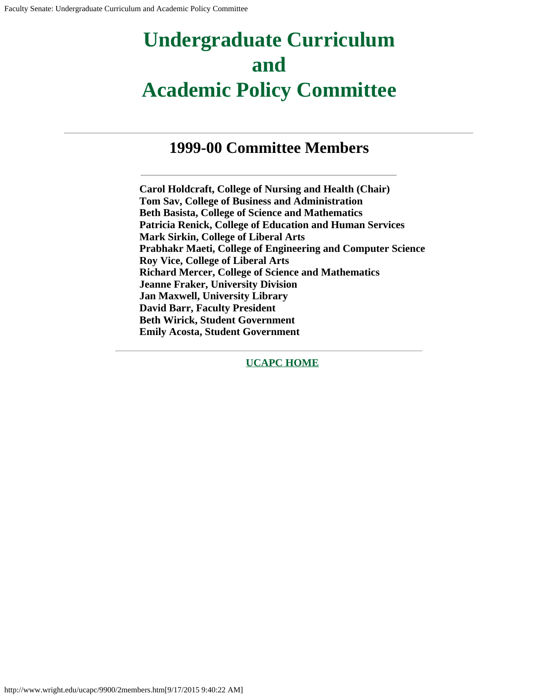# **Undergraduate Curriculum and Academic Policy Committee**

## **1999-00 Committee Members**

**Carol Holdcraft, College of Nursing and Health (Chair) Tom Sav, College of Business and Administration Beth Basista, College of Science and Mathematics Patricia Renick, College of Education and Human Services Mark Sirkin, College of Liberal Arts Prabhakr Maeti, College of Engineering and Computer Science Roy Vice, College of Liberal Arts Richard Mercer, College of Science and Mathematics Jeanne Fraker, University Division Jan Maxwell, University Library David Barr, Faculty President Beth Wirick, Student Government Emily Acosta, Student Government**

**[UCAPC HOME](http://www.wright.edu/ucapc/index.htm)**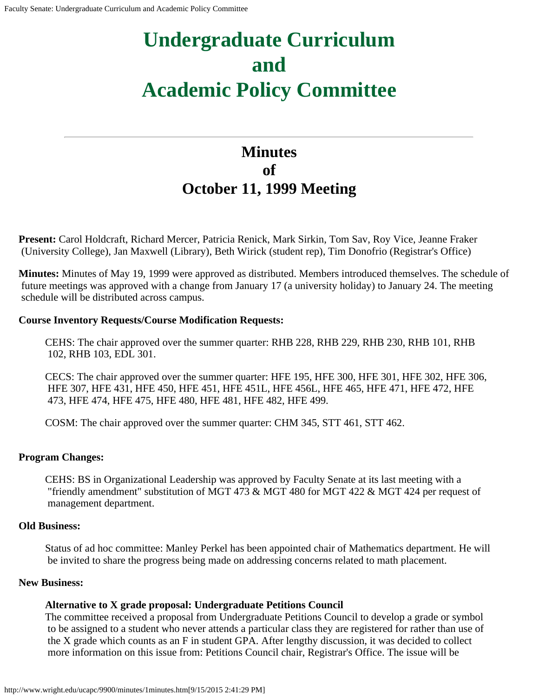# **Undergraduate Curriculum and Academic Policy Committee**

## **Minutes of October 11, 1999 Meeting**

**Present:** Carol Holdcraft, Richard Mercer, Patricia Renick, Mark Sirkin, Tom Sav, Roy Vice, Jeanne Fraker (University College), Jan Maxwell (Library), Beth Wirick (student rep), Tim Donofrio (Registrar's Office)

**Minutes:** Minutes of May 19, 1999 were approved as distributed. Members introduced themselves. The schedule of future meetings was approved with a change from January 17 (a university holiday) to January 24. The meeting schedule will be distributed across campus.

#### **Course Inventory Requests/Course Modification Requests:**

CEHS: The chair approved over the summer quarter: RHB 228, RHB 229, RHB 230, RHB 101, RHB 102, RHB 103, EDL 301.

CECS: The chair approved over the summer quarter: HFE 195, HFE 300, HFE 301, HFE 302, HFE 306, HFE 307, HFE 431, HFE 450, HFE 451, HFE 451L, HFE 456L, HFE 465, HFE 471, HFE 472, HFE 473, HFE 474, HFE 475, HFE 480, HFE 481, HFE 482, HFE 499.

COSM: The chair approved over the summer quarter: CHM 345, STT 461, STT 462.

#### **Program Changes:**

CEHS: BS in Organizational Leadership was approved by Faculty Senate at its last meeting with a "friendly amendment" substitution of MGT 473 & MGT 480 for MGT 422 & MGT 424 per request of management department.

#### **Old Business:**

Status of ad hoc committee: Manley Perkel has been appointed chair of Mathematics department. He will be invited to share the progress being made on addressing concerns related to math placement.

#### **New Business:**

### **Alternative to X grade proposal: Undergraduate Petitions Council**

The committee received a proposal from Undergraduate Petitions Council to develop a grade or symbol to be assigned to a student who never attends a particular class they are registered for rather than use of the X grade which counts as an F in student GPA. After lengthy discussion, it was decided to collect more information on this issue from: Petitions Council chair, Registrar's Office. The issue will be